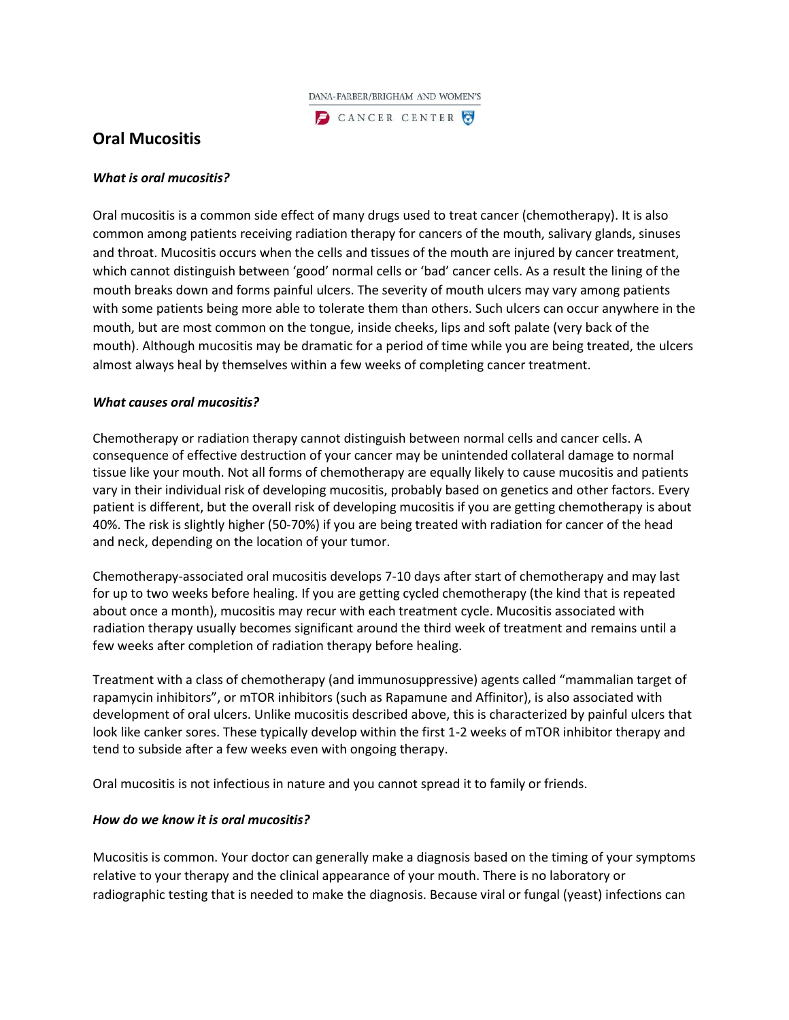

CANCER CENTER

# **Oral Mucositis**

## *What is oral mucositis?*

Oral mucositis is a common side effect of many drugs used to treat cancer (chemotherapy). It is also common among patients receiving radiation therapy for cancers of the mouth, salivary glands, sinuses and throat. Mucositis occurs when the cells and tissues of the mouth are injured by cancer treatment, which cannot distinguish between 'good' normal cells or 'bad' cancer cells. As a result the lining of the mouth breaks down and forms painful ulcers. The severity of mouth ulcers may vary among patients with some patients being more able to tolerate them than others. Such ulcers can occur anywhere in the mouth, but are most common on the tongue, inside cheeks, lips and soft palate (very back of the mouth). Although mucositis may be dramatic for a period of time while you are being treated, the ulcers almost always heal by themselves within a few weeks of completing cancer treatment.

## *What causes oral mucositis?*

Chemotherapy or radiation therapy cannot distinguish between normal cells and cancer cells. A consequence of effective destruction of your cancer may be unintended collateral damage to normal tissue like your mouth. Not all forms of chemotherapy are equally likely to cause mucositis and patients vary in their individual risk of developing mucositis, probably based on genetics and other factors. Every patient is different, but the overall risk of developing mucositis if you are getting chemotherapy is about 40%. The risk is slightly higher (50-70%) if you are being treated with radiation for cancer of the head and neck, depending on the location of your tumor.

Chemotherapy-associated oral mucositis develops 7-10 days after start of chemotherapy and may last for up to two weeks before healing. If you are getting cycled chemotherapy (the kind that is repeated about once a month), mucositis may recur with each treatment cycle. Mucositis associated with radiation therapy usually becomes significant around the third week of treatment and remains until a few weeks after completion of radiation therapy before healing.

Treatment with a class of chemotherapy (and immunosuppressive) agents called "mammalian target of rapamycin inhibitors", or mTOR inhibitors (such as Rapamune and Affinitor), is also associated with development of oral ulcers. Unlike mucositis described above, this is characterized by painful ulcers that look like canker sores. These typically develop within the first 1-2 weeks of mTOR inhibitor therapy and tend to subside after a few weeks even with ongoing therapy.

Oral mucositis is not infectious in nature and you cannot spread it to family or friends.

#### *How do we know it is oral mucositis?*

Mucositis is common. Your doctor can generally make a diagnosis based on the timing of your symptoms relative to your therapy and the clinical appearance of your mouth. There is no laboratory or radiographic testing that is needed to make the diagnosis. Because viral or fungal (yeast) infections can